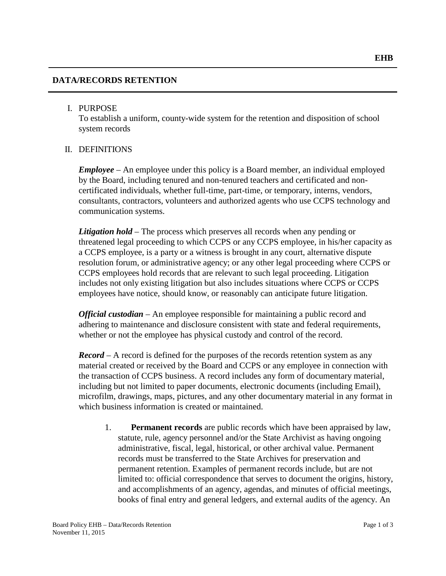# **DATA/RECORDS RETENTION**

### I. PURPOSE

To establish a uniform, county-wide system for the retention and disposition of school system records

# II. DEFINITIONS

*Employee* – An employee under this policy is a Board member, an individual employed by the Board, including tenured and non-tenured teachers and certificated and noncertificated individuals, whether full-time, part-time, or temporary, interns, vendors, consultants, contractors, volunteers and authorized agents who use CCPS technology and communication systems.

*Litigation hold* – The process which preserves all records when any pending or threatened legal proceeding to which CCPS or any CCPS employee, in his/her capacity as a CCPS employee, is a party or a witness is brought in any court, alternative dispute resolution forum, or administrative agency; or any other legal proceeding where CCPS or CCPS employees hold records that are relevant to such legal proceeding. Litigation includes not only existing litigation but also includes situations where CCPS or CCPS employees have notice, should know, or reasonably can anticipate future litigation.

*Official custodian* – An employee responsible for maintaining a public record and adhering to maintenance and disclosure consistent with state and federal requirements, whether or not the employee has physical custody and control of the record.

*Record* – A record is defined for the purposes of the records retention system as any material created or received by the Board and CCPS or any employee in connection with the transaction of CCPS business. A record includes any form of documentary material, including but not limited to paper documents, electronic documents (including Email), microfilm, drawings, maps, pictures, and any other documentary material in any format in which business information is created or maintained.

1. **Permanent records** are public records which have been appraised by law, statute, rule, agency personnel and/or the State Archivist as having ongoing administrative, fiscal, legal, historical, or other archival value. Permanent records must be transferred to the State Archives for preservation and permanent retention. Examples of permanent records include, but are not limited to: official correspondence that serves to document the origins, history, and accomplishments of an agency, agendas, and minutes of official meetings, books of final entry and general ledgers, and external audits of the agency. An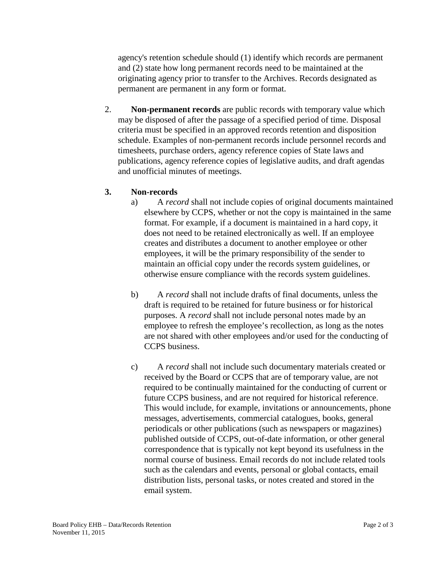agency's retention schedule should (1) identify which records are permanent and (2) state how long permanent records need to be maintained at the originating agency prior to transfer to the Archives. Records designated as permanent are permanent in any form or format.

2. **Non-permanent records** are public records with temporary value which may be disposed of after the passage of a specified period of time. Disposal criteria must be specified in an approved records retention and disposition schedule. Examples of non-permanent records include personnel records and timesheets, purchase orders, agency reference copies of State laws and publications, agency reference copies of legislative audits, and draft agendas and unofficial minutes of meetings.

# **3. Non-records**

- a) A *record* shall not include copies of original documents maintained elsewhere by CCPS, whether or not the copy is maintained in the same format. For example, if a document is maintained in a hard copy, it does not need to be retained electronically as well. If an employee creates and distributes a document to another employee or other employees, it will be the primary responsibility of the sender to maintain an official copy under the records system guidelines, or otherwise ensure compliance with the records system guidelines.
- b) A *record* shall not include drafts of final documents, unless the draft is required to be retained for future business or for historical purposes. A *record* shall not include personal notes made by an employee to refresh the employee's recollection, as long as the notes are not shared with other employees and/or used for the conducting of CCPS business.
- c) A *record* shall not include such documentary materials created or received by the Board or CCPS that are of temporary value, are not required to be continually maintained for the conducting of current or future CCPS business, and are not required for historical reference. This would include, for example, invitations or announcements, phone messages, advertisements, commercial catalogues, books, general periodicals or other publications (such as newspapers or magazines) published outside of CCPS, out-of-date information, or other general correspondence that is typically not kept beyond its usefulness in the normal course of business. Email records do not include related tools such as the calendars and events, personal or global contacts, email distribution lists, personal tasks, or notes created and stored in the email system.